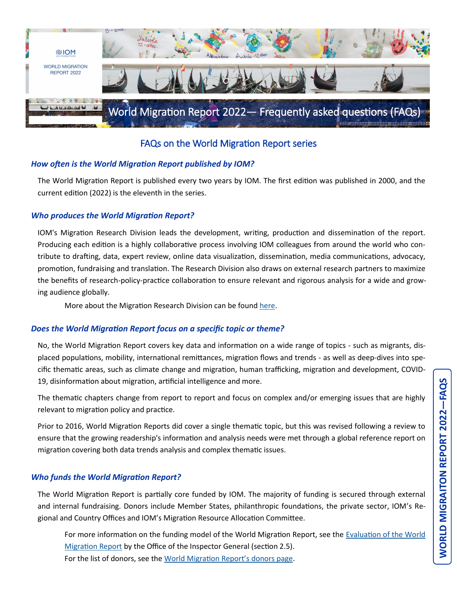

## FAQs on the World Migration Report series

### *How often is the World Migration Report published by IOM?*

The World Migration Report is published every two years by IOM. The first edition was published in 2000, and the current edition (2022) is the eleventh in the series.

#### *Who produces the World Migration Report?*

IOM's Migration Research Division leads the development, writing, production and dissemination of the report. Producing each edition is a highly collaborative process involving IOM colleagues from around the world who contribute to drafting, data, expert review, online data visualization, dissemination, media communications, advocacy, promotion, fundraising and translation. The Research Division also draws on external research partners to maximize the benefits of research-policy-practice collaboration to ensure relevant and rigorous analysis for a wide and growing audience globally.

More about the Migration Research Division can be found [here.](https://www.iom.int/migration-research)

#### *Does the World Migration Report focus on a specific topic or theme?*

No, the World Migration Report covers key data and information on a wide range of topics - such as migrants, displaced populations, mobility, international remittances, migration flows and trends - as well as deep-dives into specific thematic areas, such as climate change and migration, human trafficking, migration and development, COVID-19, disinformation about migration, artificial intelligence and more.

The thematic chapters change from report to report and focus on complex and/or emerging issues that are highly relevant to migration policy and practice.

Prior to 2016, World Migration Reports did cover a single thematic topic, but this was revised following a review to ensure that the growing readership's information and analysis needs were met through a global reference report on migration covering both data trends analysis and complex thematic issues.

#### *Who funds the World Migration Report?*

The World Migration Report is partially core funded by IOM. The majority of funding is secured through external and internal fundraising. Donors include Member States, philanthropic foundations, the private sector, IOM's Regional and Country Offices and IOM's Migration Resource Allocation Committee.

For more information on the funding model of the World Migration Report, see the [Evaluation of the World](https://evaluation.iom.int/sites/g/files/tmzbdl151/files/docs/resources/Final%20Report_WMR%20Evaluation_0.pdf)  [Migration Report](https://evaluation.iom.int/sites/g/files/tmzbdl151/files/docs/resources/Final%20Report_WMR%20Evaluation_0.pdf) by the Office of the Inspector General (section 2.5). For the list of donors, see the [World Migration Report](https://worldmigrationreport.iom.int/about)'s donors page.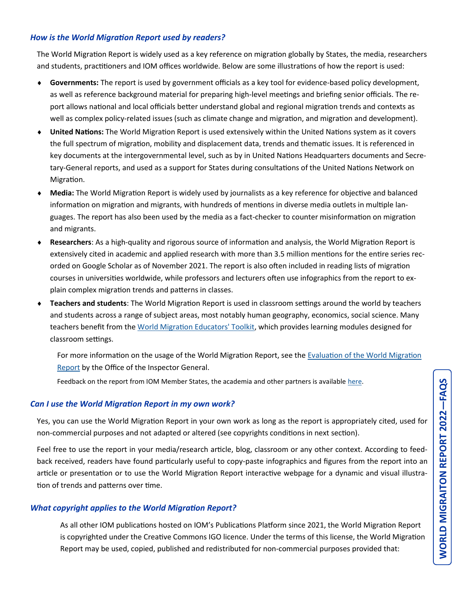### *How is the World Migration Report used by readers?*

The World Migration Report is widely used as a key reference on migration globally by States, the media, researchers and students, practitioners and IOM offices worldwide. Below are some illustrations of how the report is used:

- **Governments:** The report is used by government officials as a key tool for evidence-based policy development, as well as reference background material for preparing high-level meetings and briefing senior officials. The report allows national and local officials better understand global and regional migration trends and contexts as well as complex policy-related issues (such as climate change and migration, and migration and development).
- **United Nations:** The World Migration Report is used extensively within the United Nations system as it covers the full spectrum of migration, mobility and displacement data, trends and thematic issues. It is referenced in key documents at the intergovernmental level, such as by in United Nations Headquarters documents and Secretary-General reports, and used as a support for States during consultations of the United Nations Network on Migration.
- **Media:** The World Migration Report is widely used by journalists as a key reference for objective and balanced information on migration and migrants, with hundreds of mentions in diverse media outlets in multiple languages. The report has also been used by the media as a fact-checker to counter misinformation on migration and migrants.
- **Researchers**: As a high-quality and rigorous source of information and analysis, the World Migration Report is extensively cited in academic and applied research with more than 3.5 million mentions for the entire series recorded on Google Scholar as of November 2021. The report is also often included in reading lists of migration courses in universities worldwide, while professors and lecturers often use infographics from the report to explain complex migration trends and patterns in classes.
- **Teachers and students**: The World Migration Report is used in classroom settings around the world by teachers and students across a range of subject areas, most notably human geography, economics, social science. Many teachers benefit from the [World Migration Educators' Toolkit,](https://worldmigrationreport.iom.int/toolkits) which provides learning modules designed for classroom settings.
	- For more information on the usage of the World Migration Report, see the [Evaluation of the World Migration](https://evaluation.iom.int/sites/g/files/tmzbdl151/files/docs/resources/Final%20Report_WMR%20Evaluation_0.pdf)  [Report](https://evaluation.iom.int/sites/g/files/tmzbdl151/files/docs/resources/Final%20Report_WMR%20Evaluation_0.pdf) by the Office of the Inspector General.

Feedback on the report from IOM Member States, the academia and other partners is available [here.](https://worldmigrationreport.iom.int/about)

### *Can I use the World Migration Report in my own work?*

Yes, you can use the World Migration Report in your own work as long as the report is appropriately cited, used for non-commercial purposes and not adapted or altered (see copyrights conditions in next section).

Feel free to use the report in your media/research article, blog, classroom or any other context. According to feedback received, readers have found particularly useful to copy-paste infographics and figures from the report into an article or presentation or to use the World Migration Report interactive webpage for a dynamic and visual illustration of trends and patterns over time.

### *What copyright applies to the World Migration Report?*

As all other IOM publications hosted on IOM's Publications Platform since 2021, the World Migration Report is copyrighted under the Creative Commons IGO licence. Under the terms of this license, the World Migration Report may be used, copied, published and redistributed for non-commercial purposes provided that: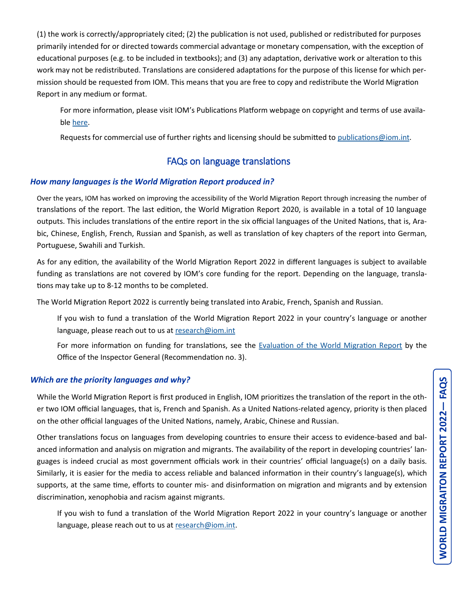(1) the work is correctly/appropriately cited; (2) the publication is not used, published or redistributed for purposes primarily intended for or directed towards commercial advantage or monetary compensation, with the exception of educational purposes (e.g. to be included in textbooks); and (3) any adaptation, derivative work or alteration to this work may not be redistributed. Translations are considered adaptations for the purpose of this license for which permission should be requested from IOM. This means that you are free to copy and redistribute the World Migration Report in any medium or format.

For more information, please visit IOM's Publications Platform webpage on copyright and terms of use available [here.](https://publications.iom.int/terms-and-conditions)

Requests for commercial use of further rights and licensing should be submitted to [publications@iom.int.](mailto:publications@iom.int) 

# FAQs on language translations

## *How many languages is the World Migration Report produced in?*

Over the years, IOM has worked on improving the accessibility of the World Migration Report through increasing the number of translations of the report. The last edition, the World Migration Report 2020, is available in a total of 10 language outputs. This includes translations of the entire report in the six official languages of the United Nations, that is, Arabic, Chinese, English, French, Russian and Spanish, as well as translation of key chapters of the report into German, Portuguese, Swahili and Turkish.

As for any edition, the availability of the World Migration Report 2022 in different languages is subject to available funding as translations are not covered by IOM's core funding for the report. Depending on the language, translations may take up to 8-12 months to be completed.

The World Migration Report 2022 is currently being translated into Arabic, French, Spanish and Russian.

If you wish to fund a translation of the World Migration Report 2022 in your country's language or another language, please reach out to us at research@iom.int

For more information on funding for translations, see the [Evaluation of the World Migration Report](https://evaluation.iom.int/sites/g/files/tmzbdl151/files/docs/resources/Final%20Report_WMR%20Evaluation_0.pdf) by the Office of the Inspector General (Recommendation no. 3).

## *Which are the priority languages and why?*

While the World Migration Report is first produced in English, IOM prioritizes the translation of the report in the other two IOM official languages, that is, French and Spanish. As a United Nations-related agency, priority is then placed on the other official languages of the United Nations, namely, Arabic, Chinese and Russian.

Other translations focus on languages from developing countries to ensure their access to evidence-based and balanced information and analysis on migration and migrants. The availability of the report in developing countries' languages is indeed crucial as most government officials work in their countries' official language(s) on a daily basis. Similarly, it is easier for the media to access reliable and balanced information in their country's language(s), which supports, at the same time, efforts to counter mis- and disinformation on migration and migrants and by extension discrimination, xenophobia and racism against migrants.

If you wish to fund a translation of the World Migration Report 2022 in your country's language or another language, please reach out to us at [research@iom.int.](mailto:research@iom.int)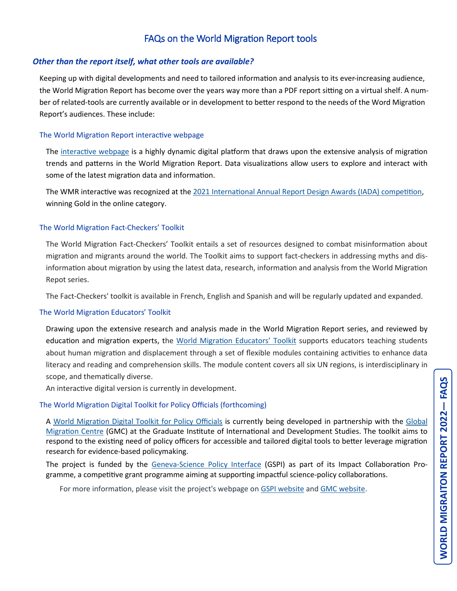# FAQs on the World Migration Report tools

### *Other than the report itself, what other tools are available?*

Keeping up with digital developments and need to tailored information and analysis to its ever-increasing audience, the World Migration Report has become over the years way more than a PDF report sitting on a virtual shelf. A number of related-tools are currently available or in development to better respond to the needs of the Word Migration Report's audiences. These include:

#### The World Migration Report interactive webpage

The [interactive webpage](https://worldmigrationreport.iom.int/wmr-2020-interactive/) is a highly dynamic digital platform that draws upon the extensive analysis of migration trends and patterns in the World Migration Report. Data visualizations allow users to explore and interact with some of the latest migration data and information.

The WMR interactive was recognized at the [2021 International Annual Report Design Awards \(IADA\) competition,](https://www.iada-award.co.uk/winner.php) winning Gold in the online category.

#### The World Migration Fact-Checkers' Toolkit

The World Migration Fact-Checkers' Toolkit entails a set of resources designed to combat misinformation about migration and migrants around the world. The Toolkit aims to support fact-checkers in addressing myths and disinformation about migration by using the latest data, research, information and analysis from the World Migration Repot series.

The Fact-Checkers' toolkit is available in French, English and Spanish and will be regularly updated and expanded.

#### The World Migration Educators' Toolkit

Drawing upon the extensive research and analysis made in the World Migration Report series, and reviewed by education and migration experts, the [World Migration Educators](https://worldmigrationreport.iom.int/toolkits)' Toolkit supports educators teaching students about human migration and displacement through a set of flexible modules containing activities to enhance data literacy and reading and comprehension skills. The module content covers all six UN regions, is interdisciplinary in scope, and thematically diverse.

An interactive digital version is currently in development.

#### The World Migration Digital Toolkit for Policy Officials (forthcoming)

A [World Migration Digital Toolkit for Policy Officials](https://worldmigrationreport.iom.int/toolkits) is currently being developed in partnership with the [Global](https://www.graduateinstitute.ch/gmc)  [Migration Centre](https://www.graduateinstitute.ch/gmc) (GMC) at the Graduate Institute of International and Development Studies. The toolkit aims to respond to the existing need of policy officers for accessible and tailored digital tools to better leverage migration research for evidence-based policymaking.

The project is funded by the Geneva-[Science Policy Interface](https://gspi.ch/collaboration_projec/building-resilient-migration-management-systems-developing-a-world-migration-report-digital-toolkit-for-policy-officials/) (GSPI) as part of its Impact Collaboration Programme, a competitive grant programme aiming at supporting impactful science-policy collaborations.

For more information, please visit the project's webpage on [GSPI website](https://gspi.ch/collaboration_projec/building-resilient-migration-management-systems-developing-a-world-migration-report-digital-toolkit-for-policy-officials/) and [GMC website.](https://www.graduateinstitute.ch/research-centres/global-migration-centre/digital-toolkit-building-resilient-migration-management)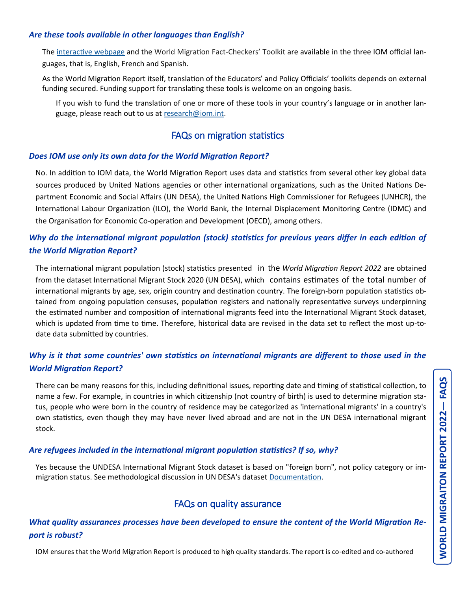### *Are these tools available in other languages than English?*

The [interactive webpage](https://worldmigrationreport.iom.int/wmr-2020-interactive/) and the World Migration Fact-Checkers' Toolkit are available in the three IOM official languages, that is, English, French and Spanish.

As the World Migration Report itself, translation of the Educators' and Policy Officials' toolkits depends on external funding secured. Funding support for translating these tools is welcome on an ongoing basis.

If you wish to fund the translation of one or more of these tools in your country's language or in another language, please reach out to us at [research@iom.int.](mailto:research@iom.int) 

## FAQs on migration statistics

### *Does IOM use only its own data for the World Migration Report?*

No. In addition to IOM data, the World Migration Report uses data and statistics from several other key global data sources produced by United Nations agencies or other international organizations, such as the United Nations Department Economic and Social Affairs (UN DESA), the United Nations High Commissioner for Refugees (UNHCR), the International Labour Organization (ILO), the World Bank, the Internal Displacement Monitoring Centre (IDMC) and the Organisation for Economic Co-operation and Development (OECD), among others.

## *Why do the international migrant population (stock) statistics for previous years differ in each edition of the World Migration Report?*

The international migrant population (stock) statistics presented in the *World Migration Report 2022* are obtained from the dataset International Migrant Stock 2020 (UN DESA), which contains estimates of the total number of international migrants by age, sex, origin country and destination country. The foreign-born population statistics obtained from ongoing population censuses, population registers and nationally representative surveys underpinning the estimated number and composition of international migrants feed into the International Migrant Stock dataset, which is updated from time to time. Therefore, historical data are revised in the data set to reflect the most up-todate data submitted by countries.

## *Why is it that some countries' own statistics on international migrants are different to those used in the World Migration Report?*

There can be many reasons for this, including definitional issues, reporting date and timing of statistical collection, to name a few. For example, in countries in which citizenship (not country of birth) is used to determine migration status, people who were born in the country of residence may be categorized as 'international migrants' in a country's own statistics, even though they may have never lived abroad and are not in the UN DESA international migrant stock.

### *Are refugees included in the international migrant population statistics? If so, why?*

Yes because the UNDESA International Migrant Stock dataset is based on "foreign born", not policy category or immigration status. See methodological discussion in UN DESA's dataset [Documentation.](https://www.un.org/development/desa/pd/sites/www.un.org.development.desa.pd/files/undesa_pd_2020_international_migrant_stock_documentation.pdf)

# FAQs on quality assurance

## *What quality assurances processes have been developed to ensure the content of the World Migration Report is robust?*

IOM ensures that the World Migration Report is produced to high quality standards. The report is co-edited and co-authored